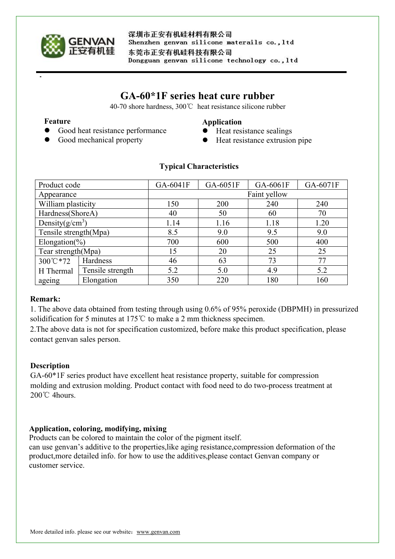

深圳市正安有机硅材料有限公司 Shenzhen genvan silicone materails co., ltd 东莞市正安有机硅科技有限公司 Dongguan genvan silicone technology co., ltd

# **GA-60\*1F series heat cure rubber**

40-70 shore hardness, 300℃ heat resistance silicone rubber

#### **Feature**

## **Application**

- Good heat resistance performance
- Good mechanical property
- Heat resistance sealings
- Heat resistance extrusion pipe

| Product code          |                  | GA-6041F     | GA-6051F | GA-6061F | GA-6071F |
|-----------------------|------------------|--------------|----------|----------|----------|
| Appearance            |                  | Faint yellow |          |          |          |
| William plasticity    |                  | 150          | 200      | 240      | 240      |
| Hardness(ShoreA)      |                  | 40           | 50       | 60       | 70       |
| Density $(g/cm^3)$    |                  | 1.14         | 1.16     | 1.18     | 1.20     |
| Tensile strength(Mpa) |                  | 8.5          | 9.0      | 9.5      | 9.0      |
| Elongation(%)         |                  | 700          | 600      | 500      | 400      |
| Tear strength(Mpa)    |                  | 15           | 20       | 25       | 25       |
| 300°C*72              | Hardness         | 46           | 63       | 73       | 77       |
| H Thermal             | Tensile strength | 5.2          | 5.0      | 4.9      | 5.2      |
| ageing                | Elongation       | 350          | 220      | 180      | 160      |

## **Typical Characteristics**

## **Remark:**

1. The above data obtained from testing through using 0.6% of 95% peroxide (DBPMH) in pressurized solidification for 5 minutes at 175℃ to make a 2 mm thickness specimen.

2.The above data is not for specification customized, before make this product specification, please contact genvan sales person.

# **Description**

GA-60\*1F series product have excellent heat resistance property, suitable for compression molding and extrusion molding. Product contact with food need to do two-process treatment at 200℃ 4hours.

# **Application, coloring, modifying, mixing**

Products can be colored to maintain the color of the pigment itself.

can use genvan's additive to the properties,like aging resistance,compression deformation of the product,more detailed info. for how to use the additives,please contact Genvan company or customer service.